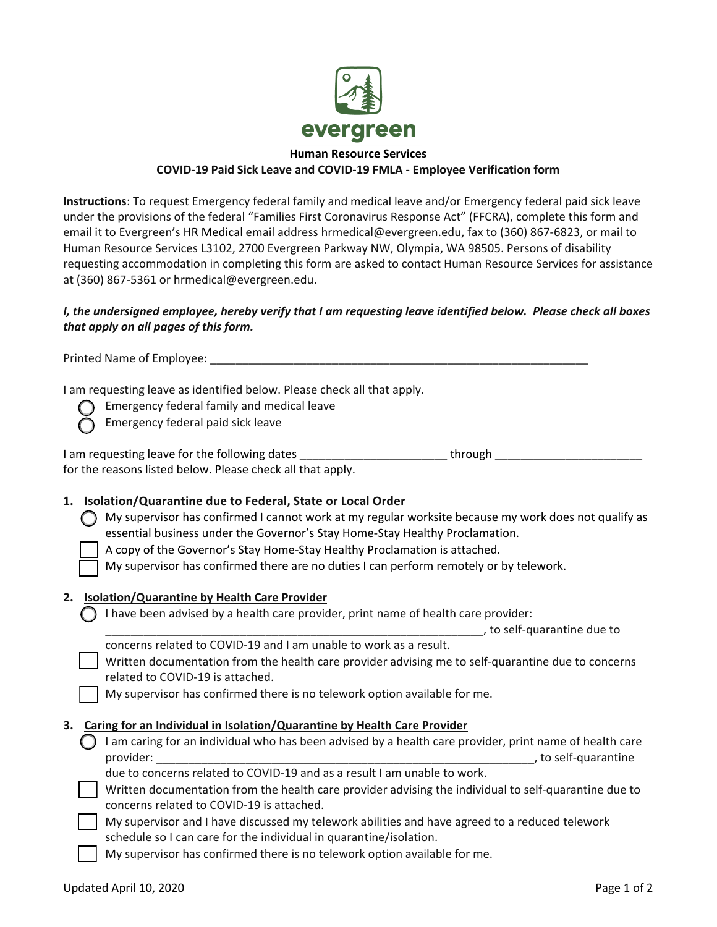

#### **Human Resource Services COVID-19 Paid Sick Leave and COVID-19 FMLA - Employee Verification form**

**Instructions**: To request Emergency federal family and medical leave and/or Emergency federal paid sick leave under the provisions of the federal "Families First Coronavirus Response Act" (FFCRA), complete this form and email it to Evergreen's HR Medical email address hrmedical@evergreen.edu, fax to (360) 867-6823, or mail to Human Resource Services L3102, 2700 Evergreen Parkway NW, Olympia, WA 98505. Persons of disability requesting accommodation in completing this form are asked to contact Human Resource Services for assistance at (360) 867-5361 or hrmedical@evergreen.edu.

# *I, the undersigned employee, hereby verify that I am requesting leave identified below. Please check all boxes that apply on all pages of this form.*

Printed Name of Employee: \_\_\_\_\_\_\_\_\_\_\_\_\_\_\_\_\_\_\_\_\_\_\_\_\_\_\_\_\_\_\_\_\_\_\_\_\_\_\_\_\_\_\_\_\_\_\_\_\_\_\_\_\_\_\_\_\_\_\_

I am requesting leave as identified below. Please check all that apply.

 $\bigcap$  Emergency federal family and medical leave

Emergency federal paid sick leave

| I am requesting leave for the following dates              | through |  |
|------------------------------------------------------------|---------|--|
| for the reasons listed below. Please check all that apply. |         |  |

# **1. Isolation/Quarantine due to Federal, State or Local Order**

 My supervisor has confirmed I cannot work at my regular worksite because my work does not qualify as essential business under the Governor's Stay Home-Stay Healthy Proclamation.

A copy of the Governor's Stay Home-Stay Healthy Proclamation is attached.

My supervisor has confirmed there are no duties I can perform remotely or by telework.

### **2. Isolation/Quarantine by Health Care Provider**

 $\bigcap$  I have been advised by a health care provider, print name of health care provider:

 $\_$ , to self-quarantine due to

| concerns related to COVID-19 and I am unable to work as a result.                                  |
|----------------------------------------------------------------------------------------------------|
| Written documentation from the health care provider advising me to self-quarantine due to concerns |
| related to COVID-19 is attached.                                                                   |

My supervisor has confirmed there is no telework option available for me.

### **3. Caring for an Individual in Isolation/Quarantine by Health Care Provider**

 $\bigcirc$  I am caring for an individual who has been advised by a health care provider, print name of health care provider: \_\_\_\_\_\_\_\_\_\_\_\_\_\_\_\_\_\_\_\_\_\_\_\_\_\_\_\_\_\_\_\_\_\_\_\_\_\_\_\_\_\_\_\_\_\_\_\_\_\_\_\_\_\_\_\_\_\_\_, to self-quarantine

due to concerns related to COVID-19 and as a result I am unable to work.

| Written documentation from the health care provider advising the individual to self-quarantine due to |
|-------------------------------------------------------------------------------------------------------|
| concerns related to COVID-19 is attached.                                                             |

 My supervisor and I have discussed my telework abilities and have agreed to a reduced telework schedule so I can care for the individual in quarantine/isolation.

My supervisor has confirmed there is no telework option available for me.